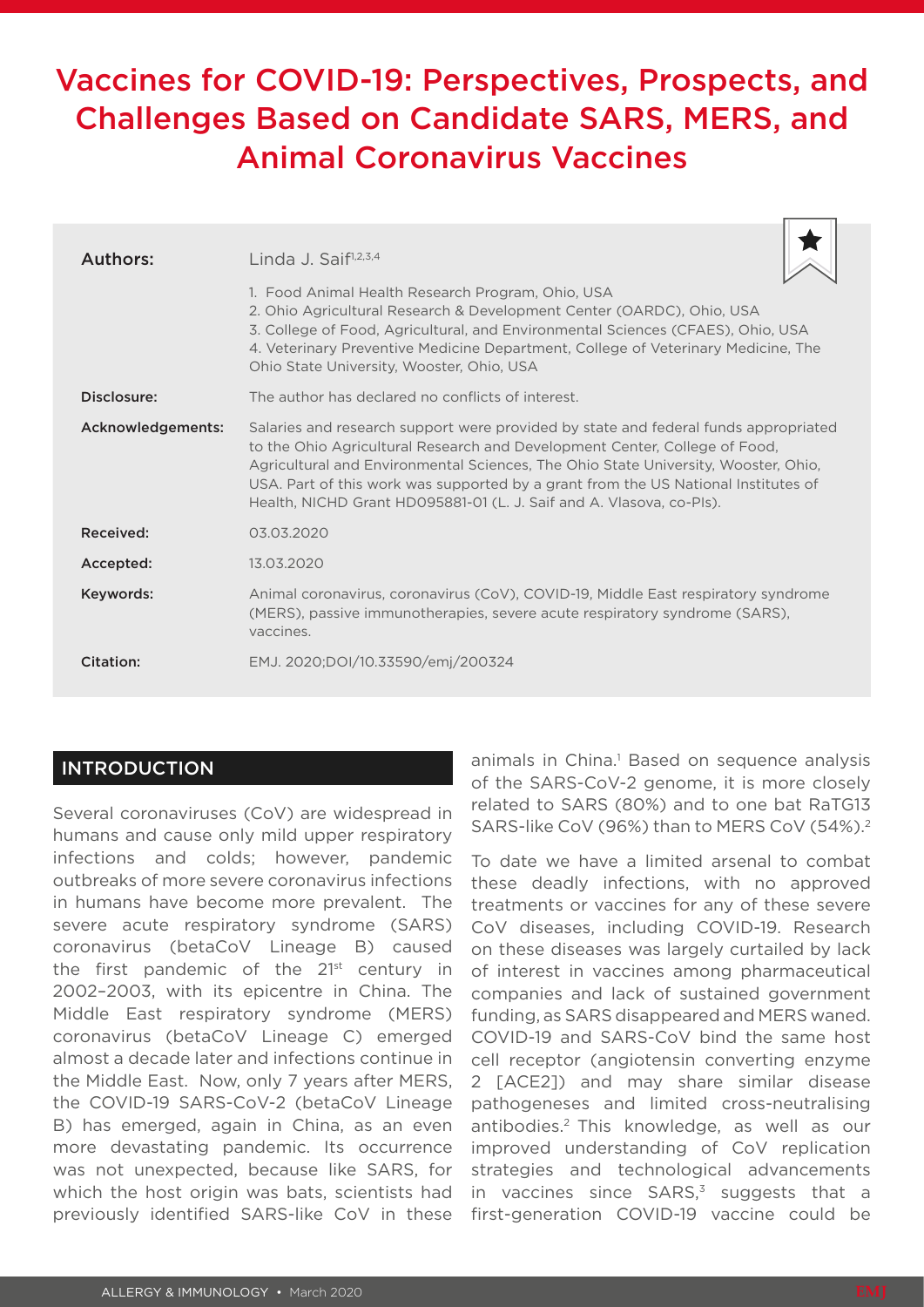# Vaccines for COVID-19: Perspectives, Prospects, and Challenges Based on Candidate SARS, MERS, and Animal Coronavirus Vaccines

| Authors:          | Linda J. Saif $1,2,3,4$<br>1. Food Animal Health Research Program, Ohio, USA<br>2. Ohio Agricultural Research & Development Center (OARDC), Ohio, USA<br>3. College of Food, Agricultural, and Environmental Sciences (CFAES), Ohio, USA<br>4. Veterinary Preventive Medicine Department, College of Veterinary Medicine, The<br>Ohio State University, Wooster, Ohio, USA                                            |
|-------------------|-----------------------------------------------------------------------------------------------------------------------------------------------------------------------------------------------------------------------------------------------------------------------------------------------------------------------------------------------------------------------------------------------------------------------|
| Disclosure:       | The author has declared no conflicts of interest.                                                                                                                                                                                                                                                                                                                                                                     |
| Acknowledgements: | Salaries and research support were provided by state and federal funds appropriated<br>to the Ohio Agricultural Research and Development Center, College of Food,<br>Agricultural and Environmental Sciences, The Ohio State University, Wooster, Ohio,<br>USA. Part of this work was supported by a grant from the US National Institutes of<br>Health, NICHD Grant HD095881-01 (L. J. Saif and A. Vlasova, co-Pls). |
| Received:         | 03.03.2020                                                                                                                                                                                                                                                                                                                                                                                                            |
| Accepted:         | 13.03.2020                                                                                                                                                                                                                                                                                                                                                                                                            |
| Keywords:         | Animal coronavirus, coronavirus (CoV), COVID-19, Middle East respiratory syndrome<br>(MERS), passive immunotherapies, severe acute respiratory syndrome (SARS),<br>vaccines.                                                                                                                                                                                                                                          |
| Citation:         | EMJ. 2020;DOI/10.33590/emj/200324                                                                                                                                                                                                                                                                                                                                                                                     |

# INTRODUCTION

Several coronaviruses (CoV) are widespread in humans and cause only mild upper respiratory infections and colds; however, pandemic outbreaks of more severe coronavirus infections in humans have become more prevalent. The severe acute respiratory syndrome (SARS) coronavirus (betaCoV Lineage B) caused the first pandemic of the  $21^{st}$  century in 2002–2003, with its epicentre in China. The Middle East respiratory syndrome (MERS) coronavirus (betaCoV Lineage C) emerged almost a decade later and infections continue in the Middle East. Now, only 7 years after MERS, the COVID-19 SARS-CoV-2 (betaCoV Lineage B) has emerged, again in China, as an even more devastating pandemic. Its occurrence was not unexpected, because like SARS, for which the host origin was bats, scientists had previously identified SARS-like CoV in these

animals in China.<sup>1</sup> Based on sequence analysis of the SARS-CoV-2 genome, it is more closely related to SARS (80%) and to one bat RaTG13 SARS-like CoV (96%) than to MERS CoV (54%).2

 $\overline{\mathbb{T}^+}$ 

To date we have a limited arsenal to combat these deadly infections, with no approved treatments or vaccines for any of these severe CoV diseases, including COVID-19. Research on these diseases was largely curtailed by lack of interest in vaccines among pharmaceutical companies and lack of sustained government funding, as SARS disappeared and MERS waned. COVID-19 and SARS-CoV bind the same host cell receptor (angiotensin converting enzyme 2 [ACE2]) and may share similar disease pathogeneses and limited cross-neutralising antibodies.2 This knowledge, as well as our improved understanding of CoV replication strategies and technological advancements in vaccines since  $SARS$ ,<sup>3</sup> suggests that a first-generation COVID-19 vaccine could be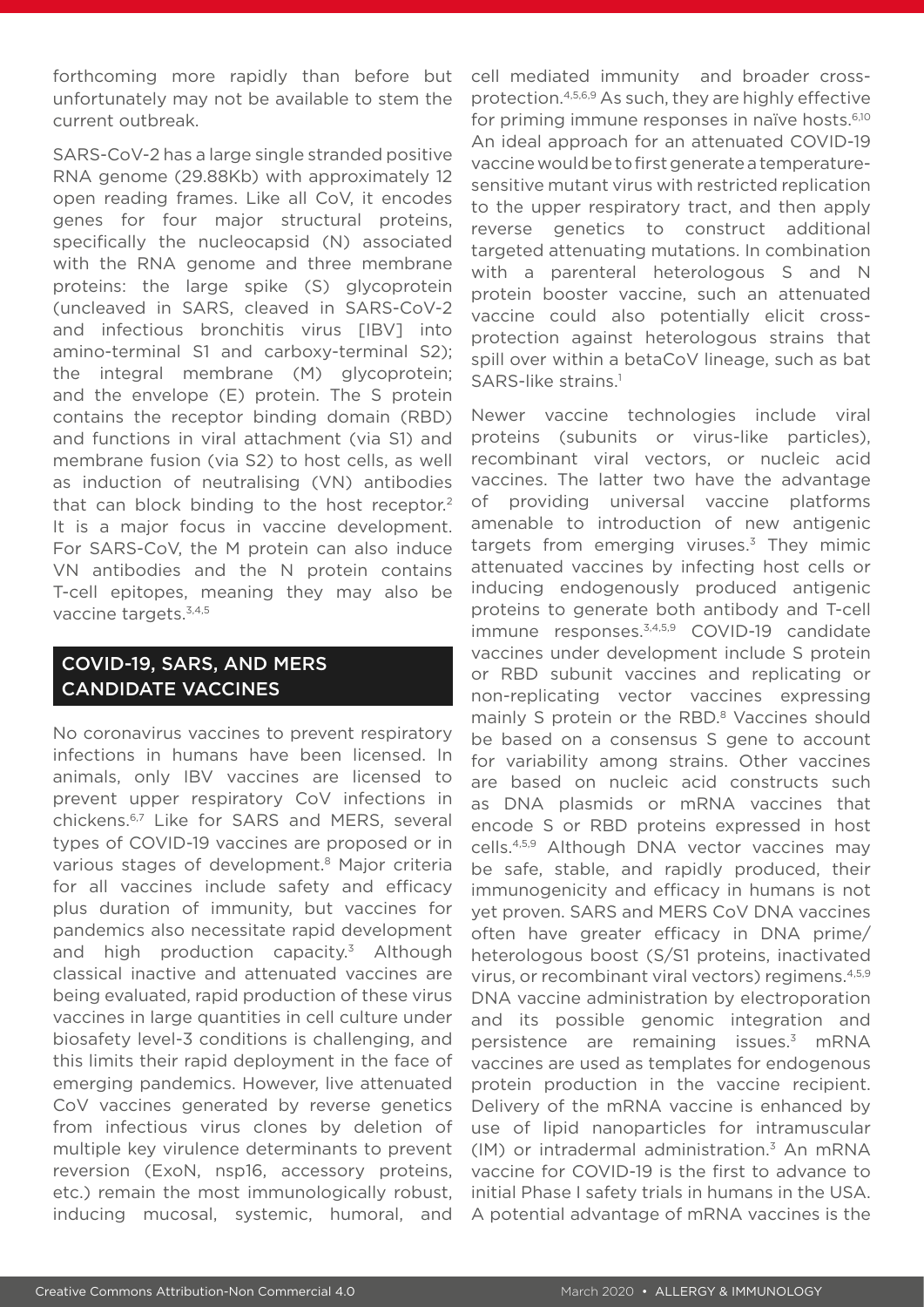forthcoming more rapidly than before but unfortunately may not be available to stem the current outbreak.

SARS-CoV-2 has a large single stranded positive RNA genome (29.88Kb) with approximately 12 open reading frames. Like all CoV, it encodes genes for four major structural proteins, specifically the nucleocapsid (N) associated with the RNA genome and three membrane proteins: the large spike (S) glycoprotein (uncleaved in SARS, cleaved in SARS-CoV-2 and infectious bronchitis virus [IBV] into amino-terminal S1 and carboxy-terminal S2); the integral membrane (M) glycoprotein; and the envelope (E) protein. The S protein contains the receptor binding domain (RBD) and functions in viral attachment (via S1) and membrane fusion (via S2) to host cells, as well as induction of neutralising (VN) antibodies that can block binding to the host receptor.<sup>2</sup> It is a major focus in vaccine development. For SARS-CoV, the M protein can also induce VN antibodies and the N protein contains T-cell epitopes, meaning they may also be vaccine targets.3,4,5

# COVID-19, SARS, AND MERS CANDIDATE VACCINES

No coronavirus vaccines to prevent respiratory infections in humans have been licensed. In animals, only IBV vaccines are licensed to prevent upper respiratory CoV infections in chickens.6,7 Like for SARS and MERS, several types of COVID-19 vaccines are proposed or in various stages of development.<sup>8</sup> Major criteria for all vaccines include safety and efficacy plus duration of immunity, but vaccines for pandemics also necessitate rapid development and high production capacity.3 Although classical inactive and attenuated vaccines are being evaluated, rapid production of these virus vaccines in large quantities in cell culture under biosafety level-3 conditions is challenging, and this limits their rapid deployment in the face of emerging pandemics. However, live attenuated CoV vaccines generated by reverse genetics from infectious virus clones by deletion of multiple key virulence determinants to prevent reversion (ExoN, nsp16, accessory proteins, etc.) remain the most immunologically robust, inducing mucosal, systemic, humoral, and

cell mediated immunity and broader crossprotection.4,5,6,9 As such, they are highly effective for priming immune responses in naïve hosts.<sup>6,10</sup> An ideal approach for an attenuated COVID-19 vaccine would be to first generate a temperaturesensitive mutant virus with restricted replication to the upper respiratory tract, and then apply reverse genetics to construct additional targeted attenuating mutations. In combination with a parenteral heterologous S and N protein booster vaccine, such an attenuated vaccine could also potentially elicit crossprotection against heterologous strains that spill over within a betaCoV lineage, such as bat SARS-like strains.<sup>1</sup>

Newer vaccine technologies include viral proteins (subunits or virus-like particles), recombinant viral vectors, or nucleic acid vaccines. The latter two have the advantage of providing universal vaccine platforms amenable to introduction of new antigenic targets from emerging viruses. $3$  They mimic attenuated vaccines by infecting host cells or inducing endogenously produced antigenic proteins to generate both antibody and T-cell immune responses.<sup>3,4,5,9</sup> COVID-19 candidate vaccines under development include S protein or RBD subunit vaccines and replicating or non-replicating vector vaccines expressing mainly S protein or the RBD.<sup>8</sup> Vaccines should be based on a consensus S gene to account for variability among strains. Other vaccines are based on nucleic acid constructs such as DNA plasmids or mRNA vaccines that encode S or RBD proteins expressed in host cells.4,5,9 Although DNA vector vaccines may be safe, stable, and rapidly produced, their immunogenicity and efficacy in humans is not yet proven. SARS and MERS CoV DNA vaccines often have greater efficacy in DNA prime/ heterologous boost (S/S1 proteins, inactivated virus, or recombinant viral vectors) regimens.4,5,9 DNA vaccine administration by electroporation and its possible genomic integration and persistence are remaining issues.3 mRNA vaccines are used as templates for endogenous protein production in the vaccine recipient. Delivery of the mRNA vaccine is enhanced by use of lipid nanoparticles for intramuscular  $(1M)$  or intradermal administration.<sup>3</sup> An mRNA vaccine for COVID-19 is the first to advance to initial Phase I safety trials in humans in the USA. A potential advantage of mRNA vaccines is the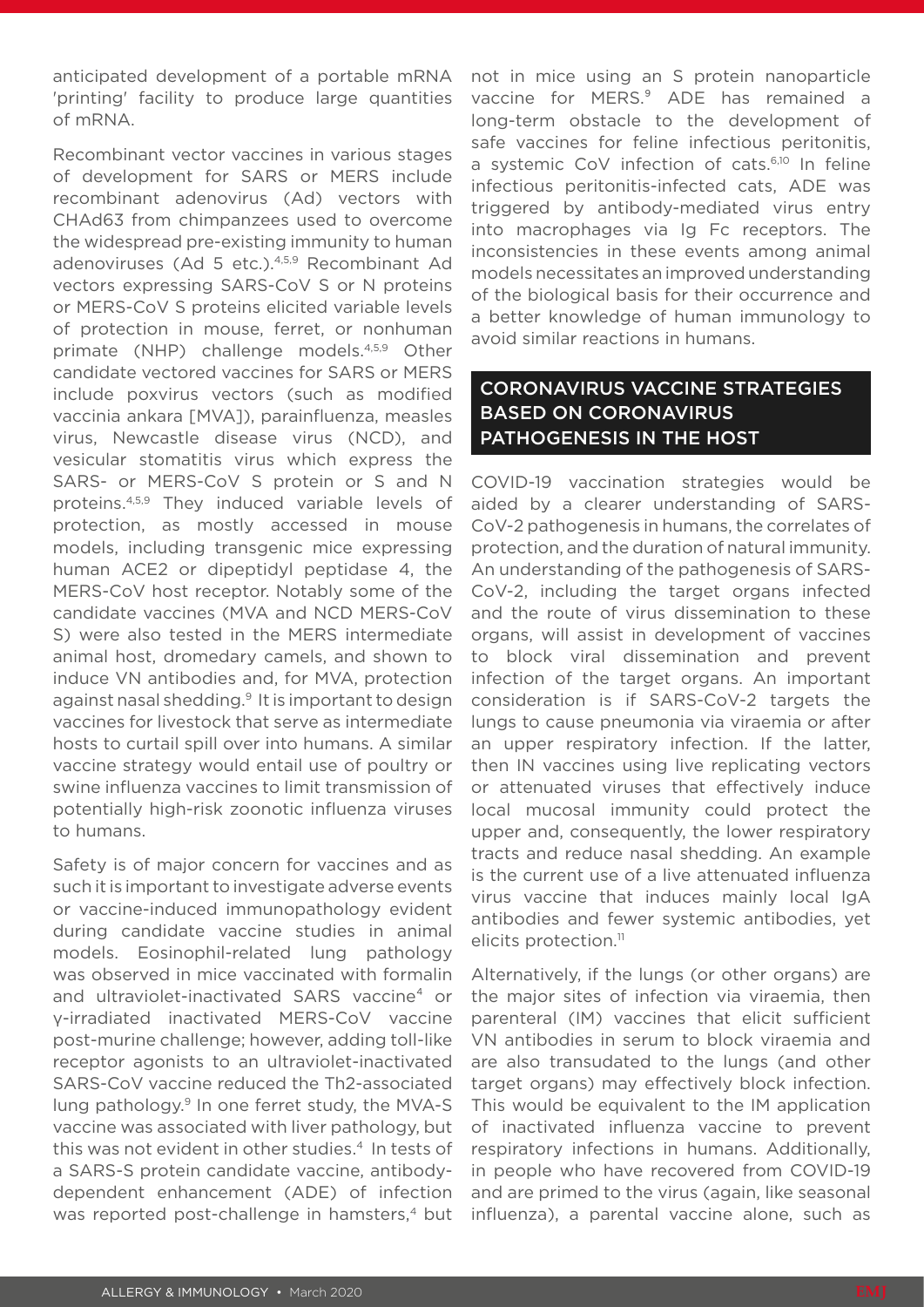anticipated development of a portable mRNA 'printing' facility to produce large quantities of mRNA.

Recombinant vector vaccines in various stages of development for SARS or MERS include recombinant adenovirus (Ad) vectors with CHAd63 from chimpanzees used to overcome the widespread pre-existing immunity to human adenoviruses (Ad 5 etc.).4,5,9 Recombinant Ad vectors expressing SARS-CoV S or N proteins or MERS-CoV S proteins elicited variable levels of protection in mouse, ferret, or nonhuman primate (NHP) challenge models.<sup>4,5,9</sup> Other candidate vectored vaccines for SARS or MERS include poxvirus vectors (such as modified vaccinia ankara [MVA]), parainfluenza, measles virus, Newcastle disease virus (NCD), and vesicular stomatitis virus which express the SARS- or MERS-CoV S protein or S and N proteins.4,5,9 They induced variable levels of protection, as mostly accessed in mouse models, including transgenic mice expressing human ACE2 or dipeptidyl peptidase 4, the MERS-CoV host receptor. Notably some of the candidate vaccines (MVA and NCD MERS-CoV S) were also tested in the MERS intermediate animal host, dromedary camels, and shown to induce VN antibodies and, for MVA, protection against nasal shedding.9 It is important to design vaccines for livestock that serve as intermediate hosts to curtail spill over into humans. A similar vaccine strategy would entail use of poultry or swine influenza vaccines to limit transmission of potentially high-risk zoonotic influenza viruses to humans.

Safety is of major concern for vaccines and as such it is important to investigate adverse events or vaccine-induced immunopathology evident during candidate vaccine studies in animal models. Eosinophil-related lung pathology was observed in mice vaccinated with formalin and ultraviolet-inactivated SARS vaccine<sup>4</sup> or γ-irradiated inactivated MERS-CoV vaccine post-murine challenge; however, adding toll-like receptor agonists to an ultraviolet-inactivated SARS-CoV vaccine reduced the Th2-associated lung pathology.<sup>9</sup> In one ferret study, the MVA-S vaccine was associated with liver pathology, but this was not evident in other studies.<sup>4</sup> In tests of a SARS-S protein candidate vaccine, antibodydependent enhancement (ADE) of infection was reported post-challenge in hamsters,<sup>4</sup> but

not in mice using an S protein nanoparticle vaccine for MERS.<sup>9</sup> ADE has remained a long-term obstacle to the development of safe vaccines for feline infectious peritonitis, a systemic CoV infection of cats.<sup>6,10</sup> In feline infectious peritonitis-infected cats, ADE was triggered by antibody-mediated virus entry into macrophages via Ig Fc receptors. The inconsistencies in these events among animal models necessitates an improved understanding of the biological basis for their occurrence and a better knowledge of human immunology to avoid similar reactions in humans.

# CORONAVIRUS VACCINE STRATEGIES BASED ON CORONAVIRUS PATHOGENESIS IN THE HOST

COVID-19 vaccination strategies would be aided by a clearer understanding of SARS-CoV-2 pathogenesis in humans, the correlates of protection, and the duration of natural immunity. An understanding of the pathogenesis of SARS-CoV-2, including the target organs infected and the route of virus dissemination to these organs, will assist in development of vaccines to block viral dissemination and prevent infection of the target organs. An important consideration is if SARS-CoV-2 targets the lungs to cause pneumonia via viraemia or after an upper respiratory infection. If the latter, then IN vaccines using live replicating vectors or attenuated viruses that effectively induce local mucosal immunity could protect the upper and, consequently, the lower respiratory tracts and reduce nasal shedding. An example is the current use of a live attenuated influenza virus vaccine that induces mainly local IgA antibodies and fewer systemic antibodies, yet elicits protection.<sup>11</sup>

Alternatively, if the lungs (or other organs) are the major sites of infection via viraemia, then parenteral (IM) vaccines that elicit sufficient VN antibodies in serum to block viraemia and are also transudated to the lungs (and other target organs) may effectively block infection. This would be equivalent to the IM application of inactivated influenza vaccine to prevent respiratory infections in humans. Additionally, in people who have recovered from COVID-19 and are primed to the virus (again, like seasonal influenza), a parental vaccine alone, such as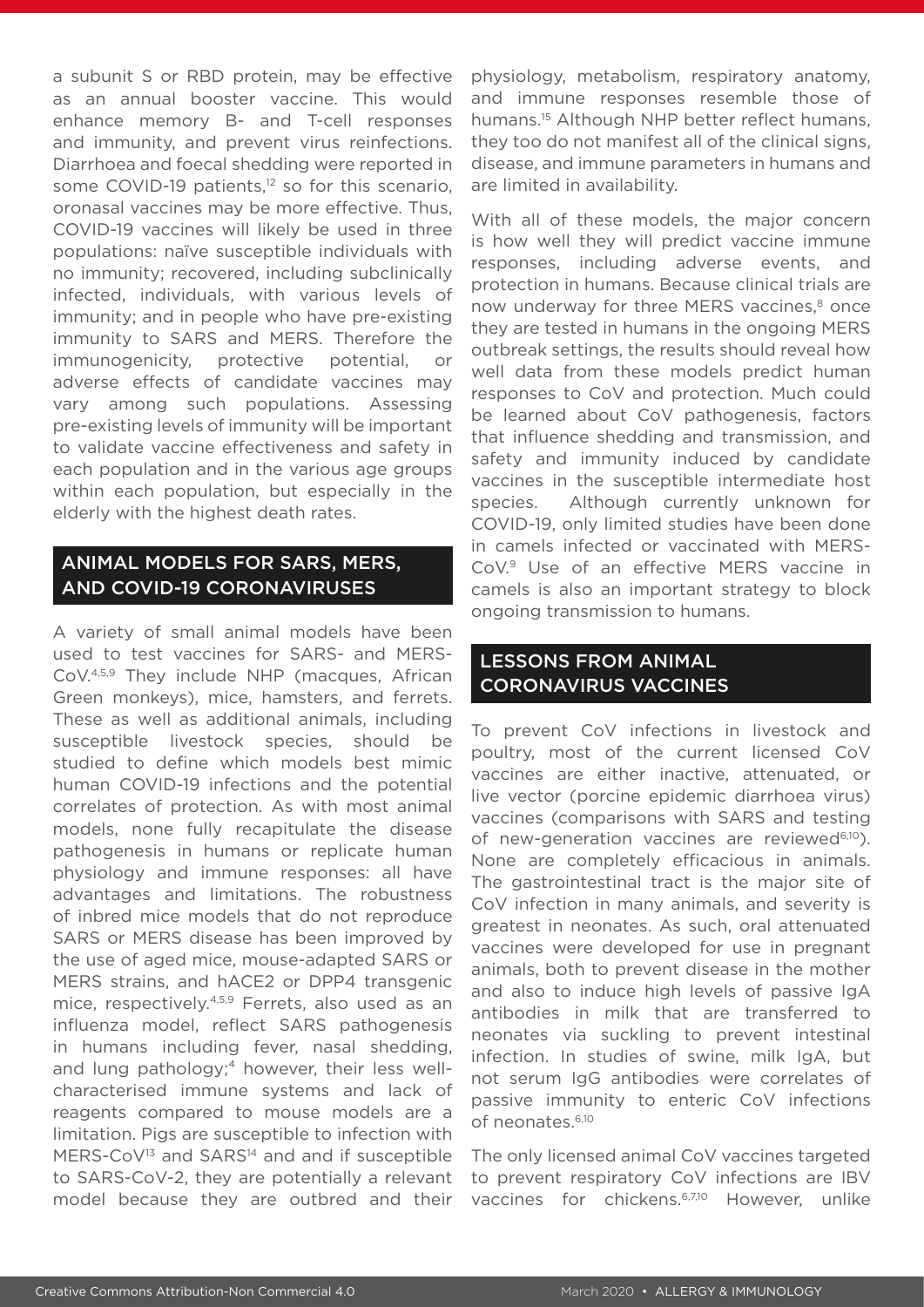a subunit S or RBD protein, may be effective as an annual booster vaccine. This would enhance memory B- and T-cell responses and immunity, and prevent virus reinfections. Diarrhoea and foecal shedding were reported in some COVID-19 patients,<sup>12</sup> so for this scenario, oronasal vaccines may be more effective. Thus, COVID-19 vaccines will likely be used in three populations: naïve susceptible individuals with no immunity; recovered, including subclinically infected, individuals, with various levels of immunity; and in people who have pre-existing immunity to SARS and MERS. Therefore the immunogenicity, protective potential, or adverse effects of candidate vaccines may vary among such populations. Assessing pre-existing levels of immunity will be important to validate vaccine effectiveness and safety in each population and in the various age groups within each population, but especially in the elderly with the highest death rates.

## ANIMAL MODELS FOR SARS, MERS, AND COVID-19 CORONAVIRUSES

A variety of small animal models have been used to test vaccines for SARS- and MERS-CoV.4,5,9 They include NHP (macques, African Green monkeys), mice, hamsters, and ferrets. These as well as additional animals, including susceptible livestock species, should be studied to define which models best mimic human COVID-19 infections and the potential correlates of protection. As with most animal models, none fully recapitulate the disease pathogenesis in humans or replicate human physiology and immune responses: all have advantages and limitations. The robustness of inbred mice models that do not reproduce SARS or MERS disease has been improved by the use of aged mice, mouse-adapted SARS or MERS strains, and hACE2 or DPP4 transgenic mice, respectively.4,5,9 Ferrets, also used as an influenza model, reflect SARS pathogenesis in humans including fever, nasal shedding, and lung pathology;<sup>4</sup> however, their less wellcharacterised immune systems and lack of reagents compared to mouse models are a limitation. Pigs are susceptible to infection with MERS-CoV<sup>13</sup> and SARS<sup>14</sup> and and if susceptible to SARS-CoV-2, they are potentially a relevant model because they are outbred and their

physiology, metabolism, respiratory anatomy, and immune responses resemble those of humans.<sup>15</sup> Although NHP better reflect humans, they too do not manifest all of the clinical signs, disease, and immune parameters in humans and are limited in availability.

With all of these models, the major concern is how well they will predict vaccine immune responses, including adverse events, and protection in humans. Because clinical trials are now underway for three MERS vaccines,<sup>8</sup> once they are tested in humans in the ongoing MERS outbreak settings, the results should reveal how well data from these models predict human responses to CoV and protection. Much could be learned about CoV pathogenesis, factors that influence shedding and transmission, and safety and immunity induced by candidate vaccines in the susceptible intermediate host species. Although currently unknown for COVID-19, only limited studies have been done in camels infected or vaccinated with MERS-CoV.9 Use of an effective MERS vaccine in camels is also an important strategy to block ongoing transmission to humans.

# LESSONS FROM ANIMAL CORONAVIRUS VACCINES

To prevent CoV infections in livestock and poultry, most of the current licensed CoV vaccines are either inactive, attenuated, or live vector (porcine epidemic diarrhoea virus) vaccines (comparisons with SARS and testing of new-generation vaccines are reviewed<sup>6,10</sup>). None are completely efficacious in animals. The gastrointestinal tract is the major site of CoV infection in many animals, and severity is greatest in neonates. As such, oral attenuated vaccines were developed for use in pregnant animals, both to prevent disease in the mother and also to induce high levels of passive IgA antibodies in milk that are transferred to neonates via suckling to prevent intestinal infection. In studies of swine, milk IgA, but not serum IgG antibodies were correlates of passive immunity to enteric CoV infections of neonates.6,10

The only licensed animal CoV vaccines targeted to prevent respiratory CoV infections are IBV vaccines for chickens.<sup>6,7,10</sup> However, unlike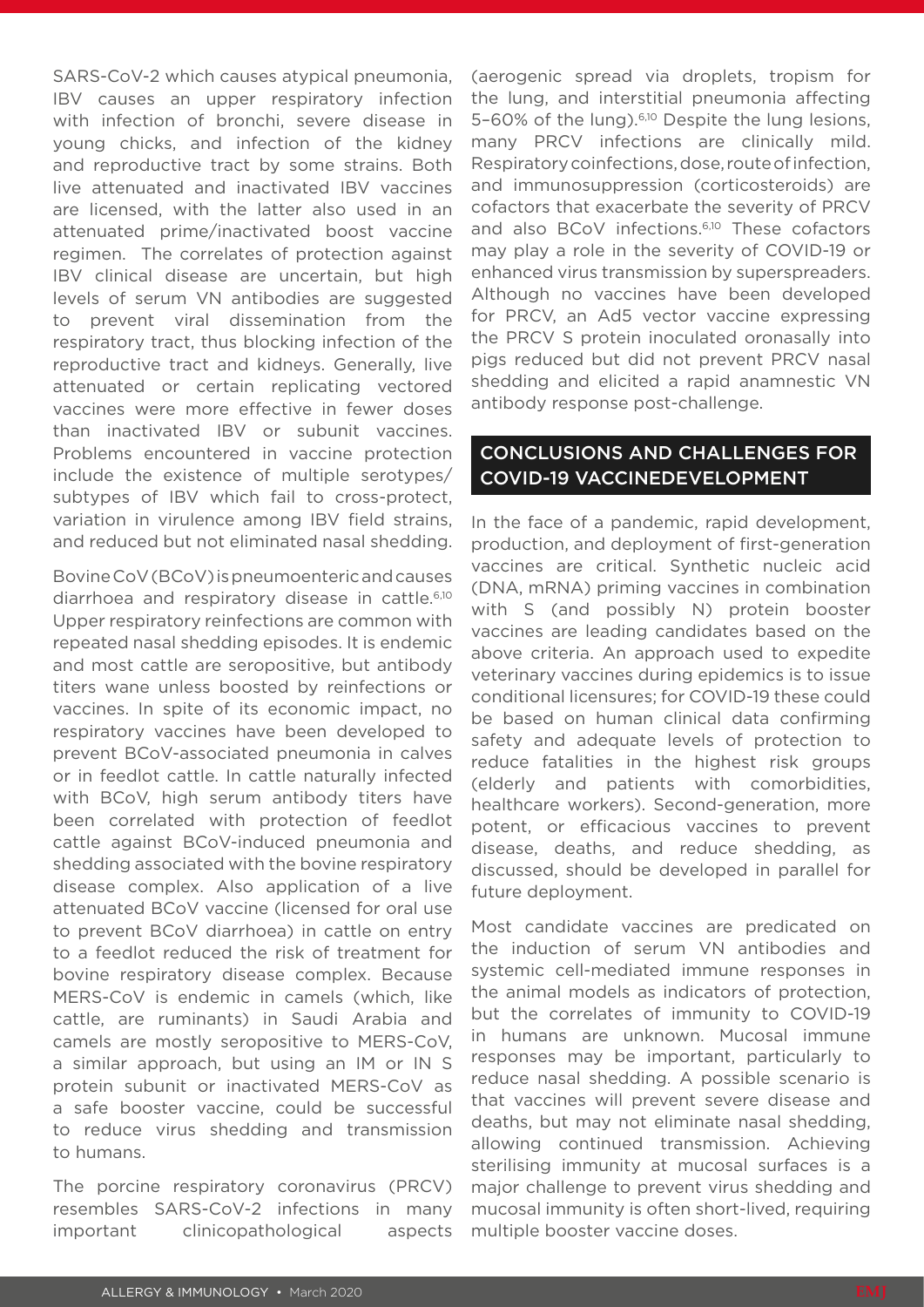SARS-CoV-2 which causes atypical pneumonia, IBV causes an upper respiratory infection with infection of bronchi, severe disease in young chicks, and infection of the kidney and reproductive tract by some strains. Both live attenuated and inactivated IBV vaccines are licensed, with the latter also used in an attenuated prime/inactivated boost vaccine regimen. The correlates of protection against IBV clinical disease are uncertain, but high levels of serum VN antibodies are suggested to prevent viral dissemination from the respiratory tract, thus blocking infection of the reproductive tract and kidneys. Generally, live attenuated or certain replicating vectored vaccines were more effective in fewer doses than inactivated IBV or subunit vaccines. Problems encountered in vaccine protection include the existence of multiple serotypes/ subtypes of IBV which fail to cross-protect, variation in virulence among IBV field strains, and reduced but not eliminated nasal shedding.

Bovine CoV (BCoV) is pneumoenteric and causes diarrhoea and respiratory disease in cattle.6,10 Upper respiratory reinfections are common with repeated nasal shedding episodes. It is endemic and most cattle are seropositive, but antibody titers wane unless boosted by reinfections or vaccines. In spite of its economic impact, no respiratory vaccines have been developed to prevent BCoV-associated pneumonia in calves or in feedlot cattle. In cattle naturally infected with BCoV, high serum antibody titers have been correlated with protection of feedlot cattle against BCoV-induced pneumonia and shedding associated with the bovine respiratory disease complex. Also application of a live attenuated BCoV vaccine (licensed for oral use to prevent BCoV diarrhoea) in cattle on entry to a feedlot reduced the risk of treatment for bovine respiratory disease complex. Because MERS-CoV is endemic in camels (which, like cattle, are ruminants) in Saudi Arabia and camels are mostly seropositive to MERS-CoV, a similar approach, but using an IM or IN S protein subunit or inactivated MERS-CoV as a safe booster vaccine, could be successful to reduce virus shedding and transmission to humans.

The porcine respiratory coronavirus (PRCV) resembles SARS-CoV-2 infections in many important clinicopathological aspects

(aerogenic spread via droplets, tropism for the lung, and interstitial pneumonia affecting 5-60% of the lung).<sup>6,10</sup> Despite the lung lesions, many PRCV infections are clinically mild. Respiratory coinfections, dose, route of infection, and immunosuppression (corticosteroids) are cofactors that exacerbate the severity of PRCV and also BCoV infections.<sup>6,10</sup> These cofactors may play a role in the severity of COVID-19 or enhanced virus transmission by superspreaders. Although no vaccines have been developed for PRCV, an Ad5 vector vaccine expressing the PRCV S protein inoculated oronasally into pigs reduced but did not prevent PRCV nasal shedding and elicited a rapid anamnestic VN antibody response post-challenge.

#### CONCLUSIONS AND CHALLENGES FOR COVID-19 VACCINEDEVELOPMENT

In the face of a pandemic, rapid development, production, and deployment of first-generation vaccines are critical. Synthetic nucleic acid (DNA, mRNA) priming vaccines in combination with S (and possibly N) protein booster vaccines are leading candidates based on the above criteria. An approach used to expedite veterinary vaccines during epidemics is to issue conditional licensures; for COVID-19 these could be based on human clinical data confirming safety and adequate levels of protection to reduce fatalities in the highest risk groups (elderly and patients with comorbidities, healthcare workers). Second-generation, more potent, or efficacious vaccines to prevent disease, deaths, and reduce shedding, as discussed, should be developed in parallel for future deployment.

Most candidate vaccines are predicated on the induction of serum VN antibodies and systemic cell-mediated immune responses in the animal models as indicators of protection, but the correlates of immunity to COVID-19 in humans are unknown. Mucosal immune responses may be important, particularly to reduce nasal shedding. A possible scenario is that vaccines will prevent severe disease and deaths, but may not eliminate nasal shedding, allowing continued transmission. Achieving sterilising immunity at mucosal surfaces is a major challenge to prevent virus shedding and mucosal immunity is often short-lived, requiring multiple booster vaccine doses.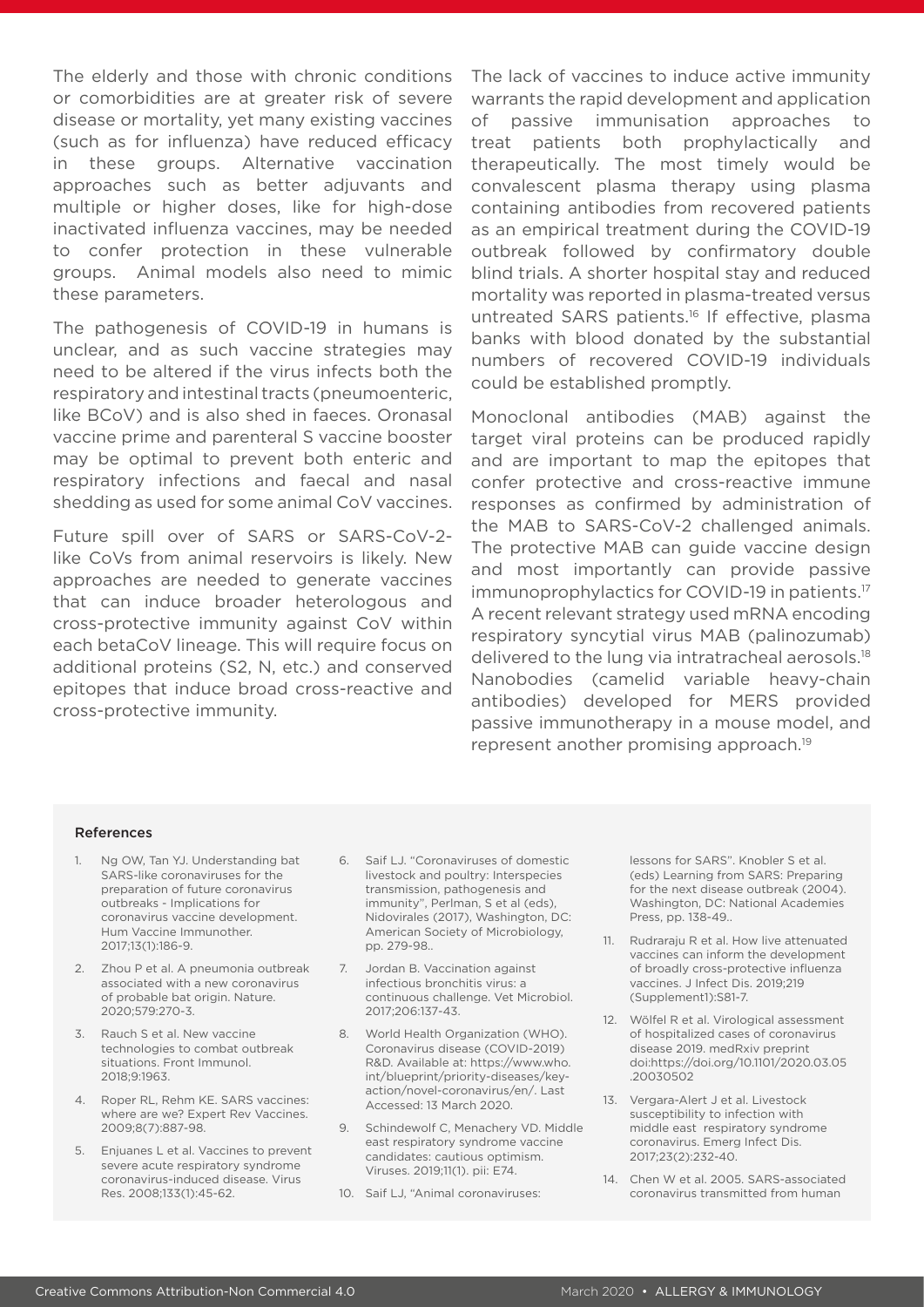The elderly and those with chronic conditions or comorbidities are at greater risk of severe disease or mortality, yet many existing vaccines (such as for influenza) have reduced efficacy in these groups. Alternative vaccination approaches such as better adjuvants and multiple or higher doses, like for high-dose inactivated influenza vaccines, may be needed to confer protection in these vulnerable groups. Animal models also need to mimic these parameters.

The pathogenesis of COVID-19 in humans is unclear, and as such vaccine strategies may need to be altered if the virus infects both the respiratory and intestinal tracts (pneumoenteric, like BCoV) and is also shed in faeces. Oronasal vaccine prime and parenteral S vaccine booster may be optimal to prevent both enteric and respiratory infections and faecal and nasal shedding as used for some animal CoV vaccines.

Future spill over of SARS or SARS-CoV-2 like CoVs from animal reservoirs is likely. New approaches are needed to generate vaccines that can induce broader heterologous and cross-protective immunity against CoV within each betaCoV lineage. This will require focus on additional proteins (S2, N, etc.) and conserved epitopes that induce broad cross-reactive and cross-protective immunity.

The lack of vaccines to induce active immunity warrants the rapid development and application of passive immunisation approaches to treat patients both prophylactically and therapeutically. The most timely would be convalescent plasma therapy using plasma containing antibodies from recovered patients as an empirical treatment during the COVID-19 outbreak followed by confirmatory double blind trials. A shorter hospital stay and reduced mortality was reported in plasma-treated versus untreated SARS patients.16 If effective, plasma banks with blood donated by the substantial numbers of recovered COVID-19 individuals could be established promptly.

Monoclonal antibodies (MAB) against the target viral proteins can be produced rapidly and are important to map the epitopes that confer protective and cross-reactive immune responses as confirmed by administration of the MAB to SARS-CoV-2 challenged animals. The protective MAB can guide vaccine design and most importantly can provide passive immunoprophylactics for COVID-19 in patients.17 A recent relevant strategy used mRNA encoding respiratory syncytial virus MAB (palinozumab) delivered to the lung via intratracheal aerosols.18 Nanobodies (camelid variable heavy-chain antibodies) developed for MERS provided passive immunotherapy in a mouse model, and represent another promising approach.19

#### References

- 1. Ng OW, Tan YJ. Understanding bat SARS-like coronaviruses for the preparation of future coronavirus outbreaks - Implications for coronavirus vaccine development. Hum Vaccine Immunother. 2017;13(1):186-9.
- 2. Zhou P et al. A pneumonia outbreak associated with a new coronavirus of probable bat origin. Nature. 2020;579:270-3.
- 3. Rauch S et al. New vaccine technologies to combat outbreak situations. Front Immunol. 2018;9:1963.
- 4. Roper RL, Rehm KE. SARS vaccines: where are we? Expert Rev Vaccines. 2009;8(7):887-98.
- 5. Enjuanes L et al. Vaccines to prevent severe acute respiratory syndrome coronavirus-induced disease. Virus Res. 2008;133(1):45-62.
- 6. Saif LJ. "Coronaviruses of domestic livestock and poultry: Interspecies transmission, pathogenesis and immunity", Perlman, S et al (eds), Nidovirales (2017), Washington, DC: American Society of Microbiology, pp. 279-98..
- 7. Jordan B. Vaccination against infectious bronchitis virus: a continuous challenge. Vet Microbiol. 2017;206:137-43.
- 8. World Health Organization (WHO). Coronavirus disease (COVID-2019) R&D. Available at: https://www.who. int/blueprint/priority-diseases/keyaction/novel-coronavirus/en/. Last Accessed: 13 March 2020.
- 9. Schindewolf C, Menachery VD. Middle east respiratory syndrome vaccine candidates: cautious optimism. Viruses. 2019;11(1). pii: E74.
- 10. Saif LJ, "Animal coronaviruses:

lessons for SARS". Knobler S et al. (eds) Learning from SARS: Preparing for the next disease outbreak (2004). Washington, DC: National Academies Press, pp. 138-49..

- 11. Rudraraju R et al. How live attenuated vaccines can inform the development of broadly cross-protective influenza vaccines. J Infect Dis. 2019;219 (Supplement1):S81-7.
- 12. Wölfel R et al. Virological assessment of hospitalized cases of coronavirus disease 2019. medRxiv preprint doi:https://doi.org/10.1101/2020.03.05 .20030502
- 13. Vergara-Alert J et al. Livestock susceptibility to infection with middle east respiratory syndrome coronavirus. Emerg Infect Dis. 2017;23(2):232-40.
- 14. Chen W et al. 2005. SARS-associated coronavirus transmitted from human